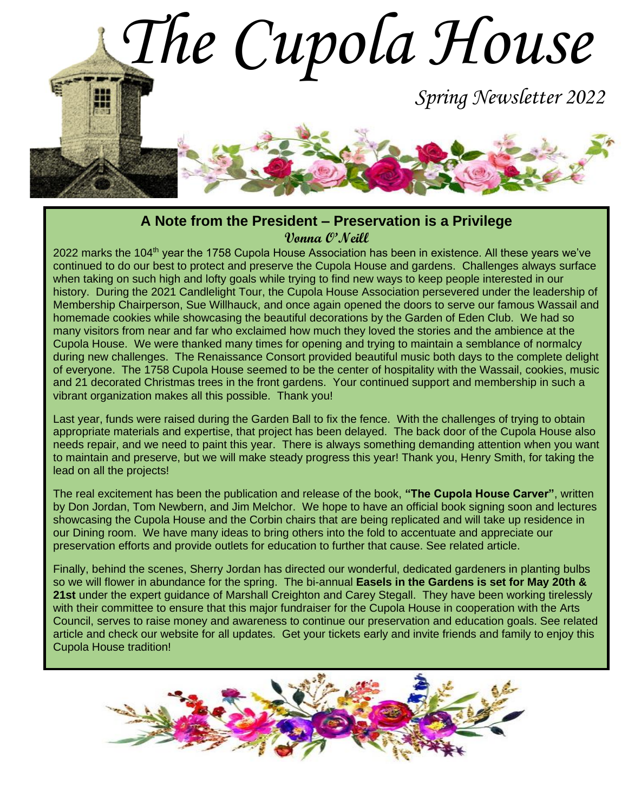

#### **A Note from the President – Preservation is a Privilege Vonna O'Neill**

2022 marks the 104<sup>th</sup> year the 1758 Cupola House Association has been in existence. All these years we've continued to do our best to protect and preserve the Cupola House and gardens. Challenges always surface when taking on such high and lofty goals while trying to find new ways to keep people interested in our history. During the 2021 Candlelight Tour, the Cupola House Association persevered under the leadership of Membership Chairperson, Sue Willhauck, and once again opened the doors to serve our famous Wassail and homemade cookies while showcasing the beautiful decorations by the Garden of Eden Club. We had so many visitors from near and far who exclaimed how much they loved the stories and the ambience at the Cupola House. We were thanked many times for opening and trying to maintain a semblance of normalcy during new challenges. The Renaissance Consort provided beautiful music both days to the complete delight of everyone. The 1758 Cupola House seemed to be the center of hospitality with the Wassail, cookies, music and 21 decorated Christmas trees in the front gardens. Your continued support and membership in such a vibrant organization makes all this possible. Thank you!

Last year, funds were raised during the Garden Ball to fix the fence. With the challenges of trying to obtain appropriate materials and expertise, that project has been delayed. The back door of the Cupola House also needs repair, and we need to paint this year. There is always something demanding attention when you want to maintain and preserve, but we will make steady progress this year! Thank you, Henry Smith, for taking the lead on all the projects!

The real excitement has been the publication and release of the book, **"The Cupola House Carver"**, written by Don Jordan, Tom Newbern, and Jim Melchor. We hope to have an official book signing soon and lectures showcasing the Cupola House and the Corbin chairs that are being replicated and will take up residence in our Dining room. We have many ideas to bring others into the fold to accentuate and appreciate our preservation efforts and provide outlets for education to further that cause. See related article.

Finally, behind the scenes, Sherry Jordan has directed our wonderful, dedicated gardeners in planting bulbs so we will flower in abundance for the spring. The bi-annual **Easels in the Gardens is set for May 20th & 21st** under the expert guidance of Marshall Creighton and Carey Stegall. They have been working tirelessly with their committee to ensure that this major fundraiser for the Cupola House in cooperation with the Arts Council, serves to raise money and awareness to continue our preservation and education goals. See related article and check our website for all updates. Get your tickets early and invite friends and family to enjoy this Cupola House tradition!

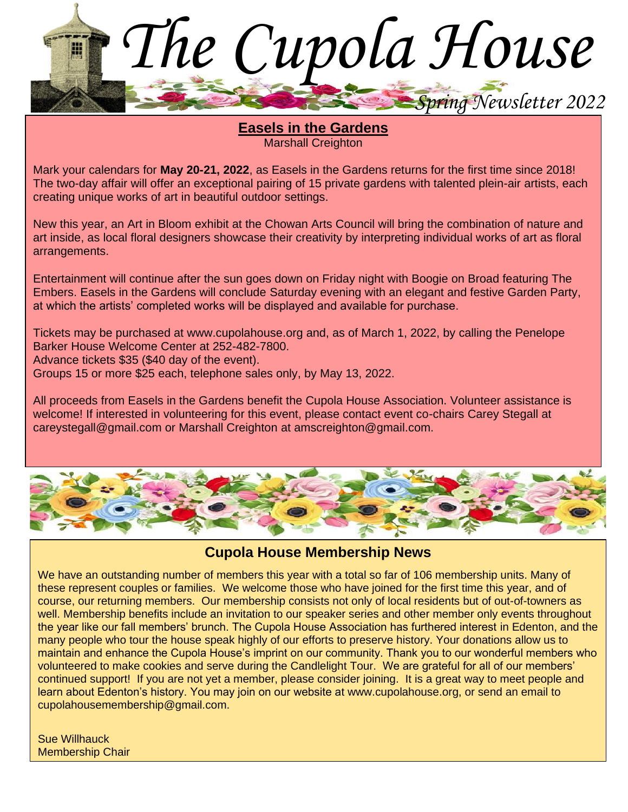

**Easels in the Gardens Marshall Creighton** 

Mark your calendars for **May 20-21, 2022**, as Easels in the Gardens returns for the first time since 2018! The two-day affair will offer an exceptional pairing of 15 private gardens with talented plein-air artists, each creating unique works of art in beautiful outdoor settings.

New this year, an Art in Bloom exhibit at the Chowan Arts Council will bring the combination of nature and art inside, as local floral designers showcase their creativity by interpreting individual works of art as floral arrangements.

Entertainment will continue after the sun goes down on Friday night with Boogie on Broad featuring The Embers. Easels in the Gardens will conclude Saturday evening with an elegant and festive Garden Party, at which the artists' completed works will be displayed and available for purchase.

Tickets may be purchased at www.cupolahouse.org and, as of March 1, 2022, by calling the Penelope Barker House Welcome Center at 252-482-7800.

Advance tickets \$35 (\$40 day of the event).

Groups 15 or more \$25 each, telephone sales only, by May 13, 2022.

All proceeds from Easels in the Gardens benefit the Cupola House Association. Volunteer assistance is welcome! If interested in volunteering for this event, please contact event co-chairs Carey Stegall at careystegall@gmail.com or Marshall Creighton at amscreighton@gmail.com.



### **Cupola House Membership News**

We have an outstanding number of members this year with a total so far of 106 membership units. Many of these represent couples or families. We welcome those who have joined for the first time this year, and of course, our returning members. Our membership consists not only of local residents but of out-of-towners as well. Membership benefits include an invitation to our speaker series and other member only events throughout the year like our fall members' brunch. The Cupola House Association has furthered interest in Edenton, and the many people who tour the house speak highly of our efforts to preserve history. Your donations allow us to maintain and enhance the Cupola House's imprint on our community. Thank you to our wonderful members who volunteered to make cookies and serve during the Candlelight Tour. We are grateful for all of our members' continued support! If you are not yet a member, please consider joining. It is a great way to meet people and learn about Edenton's history. You may join on our website at www.cupolahouse.org, or send an email to cupolahousemembership@gmail.com.

Sue Willhauck Membership Chair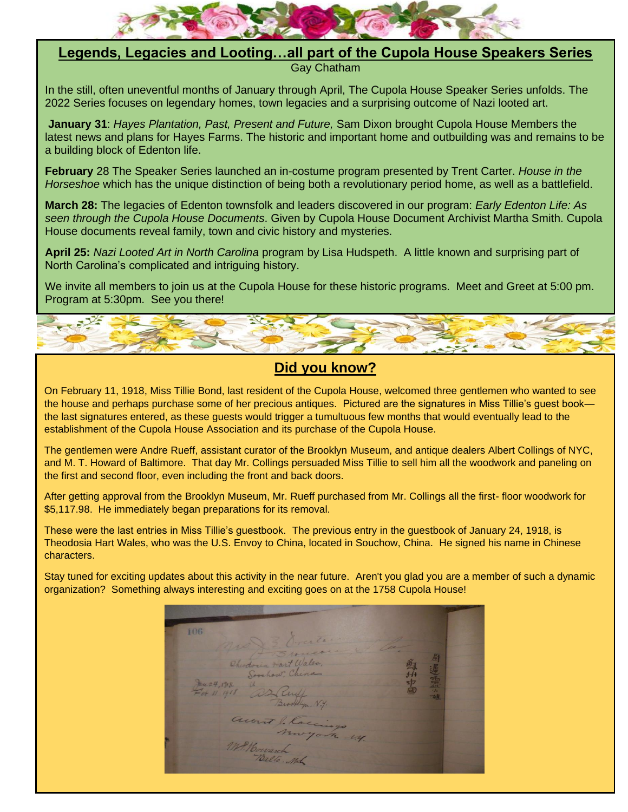

# **Legends, Legacies and Looting…all part of the Cupola House Speakers Series**

Gay Chatham

In the still, often uneventful months of January through April, The Cupola House Speaker Series unfolds. The 2022 Series focuses on legendary homes, town legacies and a surprising outcome of Nazi looted art.

**January 31**: *Hayes Plantation, Past, Present and Future,* Sam Dixon brought Cupola House Members the latest news and plans for Hayes Farms. The historic and important home and outbuilding was and remains to be a building block of Edenton life.

**February** 28 The Speaker Series launched an in-costume program presented by Trent Carter. *House in the Horseshoe* which has the unique distinction of being both a revolutionary period home, as well as a battlefield.

**March 28:** The legacies of Edenton townsfolk and leaders discovered in our program: *Early Edenton Life: As seen through the Cupola House Documents*. Given by Cupola House Document Archivist Martha Smith. Cupola House documents reveal family, town and civic history and mysteries.

**April 25:** *Nazi Looted Art in North Carolina* program by Lisa Hudspeth. A little known and surprising part of North Carolina's complicated and intriguing history.

We invite all members to join us at the Cupola House for these historic programs. Meet and Greet at 5:00 pm. Program at 5:30pm. See you there!



### **Did you know?**

On February 11, 1918, Miss Tillie Bond, last resident of the Cupola House, welcomed three gentlemen who wanted to see the house and perhaps purchase some of her precious antiques. Pictured are the signatures in Miss Tillie's guest book the last signatures entered, as these guests would trigger a tumultuous few months that would eventually lead to the establishment of the Cupola House Association and its purchase of the Cupola House.

The gentlemen were Andre Rueff, assistant curator of the Brooklyn Museum, and antique dealers Albert Collings of NYC, and M. T. Howard of Baltimore. That day Mr. Collings persuaded Miss Tillie to sell him all the woodwork and paneling on the first and second floor, even including the front and back doors.

After getting approval from the Brooklyn Museum, Mr. Rueff purchased from Mr. Collings all the first- floor woodwork for \$5,117.98. He immediately began preparations for its removal.

These were the last entries in Miss Tillie's guestbook. The previous entry in the guestbook of January 24, 1918, is Theodosia Hart Wales, who was the U.S. Envoy to China, located in Souchow, China. He signed his name in Chinese characters.

Stay tuned for exciting updates about this activity in the near future. Aren't you glad you are a member of such a dynamic organization? Something always interesting and exciting goes on at the 1758 Cupola House!

106 ia Hart Wale  $424.1718$ account be los 1. Houranch Balló. Mch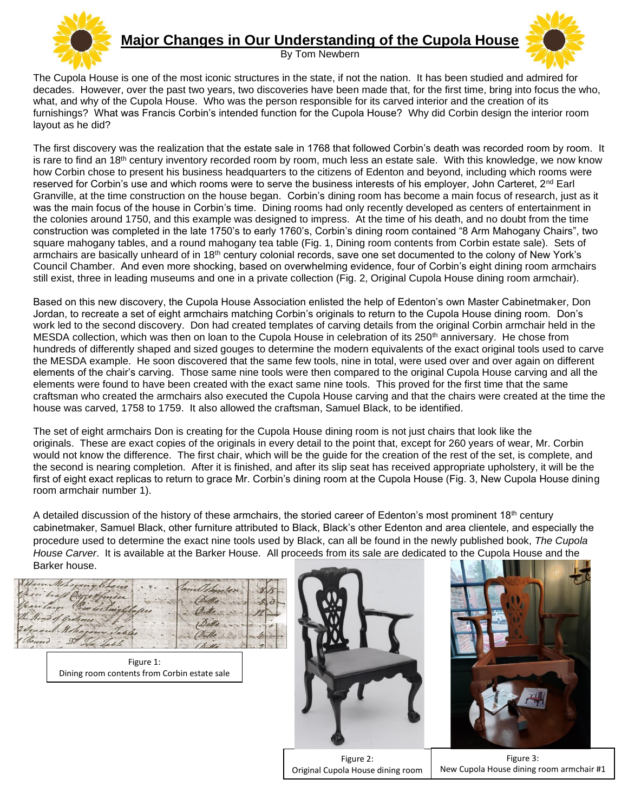

## **Major Changes in Our Understanding of the Cupola House**

By Tom Newbern



The Cupola House is one of the most iconic structures in the state, if not the nation. It has been studied and admired for decades. However, over the past two years, two discoveries have been made that, for the first time, bring into focus the who, what, and why of the Cupola House. Who was the person responsible for its carved interior and the creation of its furnishings? What was Francis Corbin's intended function for the Cupola House? Why did Corbin design the interior room layout as he did?

The first discovery was the realization that the estate sale in 1768 that followed Corbin's death was recorded room by room. It is rare to find an 18<sup>th</sup> century inventory recorded room by room, much less an estate sale. With this knowledge, we now know how Corbin chose to present his business headquarters to the citizens of Edenton and beyond, including which rooms were reserved for Corbin's use and which rooms were to serve the business interests of his employer, John Carteret, 2<sup>nd</sup> Earl Granville, at the time construction on the house began. Corbin's dining room has become a main focus of research, just as it was the main focus of the house in Corbin's time. Dining rooms had only recently developed as centers of entertainment in the colonies around 1750, and this example was designed to impress. At the time of his death, and no doubt from the time construction was completed in the late 1750's to early 1760's, Corbin's dining room contained "8 Arm Mahogany Chairs", two square mahogany tables, and a round mahogany tea table (Fig. 1, Dining room contents from Corbin estate sale). Sets of armchairs are basically unheard of in 18<sup>th</sup> century colonial records, save one set documented to the colony of New York's Council Chamber. And even more shocking, based on overwhelming evidence, four of Corbin's eight dining room armchairs still exist, three in leading museums and one in a private collection (Fig. 2, Original Cupola House dining room armchair).

Based on this new discovery, the Cupola House Association enlisted the help of Edenton's own Master Cabinetmaker, Don Jordan, to recreate a set of eight armchairs matching Corbin's originals to return to the Cupola House dining room. Don's work led to the second discovery. Don had created templates of carving details from the original Corbin armchair held in the MESDA collection, which was then on loan to the Cupola House in celebration of its 250<sup>th</sup> anniversary. He chose from hundreds of differently shaped and sized gouges to determine the modern equivalents of the exact original tools used to carve the MESDA example. He soon discovered that the same few tools, nine in total, were used over and over again on different elements of the chair's carving. Those same nine tools were then compared to the original Cupola House carving and all the elements were found to have been created with the exact same nine tools. This proved for the first time that the same craftsman who created the armchairs also executed the Cupola House carving and that the chairs were created at the time the house was carved, 1758 to 1759. It also allowed the craftsman, Samuel Black, to be identified.

The set of eight armchairs Don is creating for the Cupola House dining room is not just chairs that look like the originals. These are exact copies of the originals in every detail to the point that, except for 260 years of wear, Mr. Corbin would not know the difference. The first chair, which will be the guide for the creation of the rest of the set, is complete, and the second is nearing completion. After it is finished, and after its slip seat has received appropriate upholstery, it will be the first of eight exact replicas to return to grace Mr. Corbin's dining room at the Cupola House (Fig. 3, New Cupola House dining room armchair number 1).

A detailed discussion of the history of these armchairs, the storied career of Edenton's most prominent 18<sup>th</sup> century cabinetmaker, Samuel Black, other furniture attributed to Black, Black's other Edenton and area clientele, and especially the procedure used to determine the exact nine tools used by Black, can all be found in the newly published book, *The Cupola House Carver*. It is available at the Barker House. All proceeds from its sale are dedicated to the Cupola House and the Barker house.

Figure 1: Dining room contents from Corbin estate sale





Figure 2: Original Cupola House dining room armchair<br>armchair

Figure 3: New Cupola House dining room armchair #1